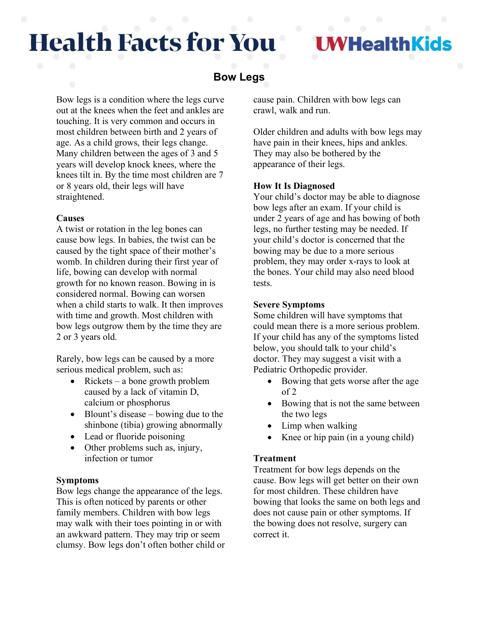# **Health Facts for You**

## **VHealthKids**

### **Bow Legs**

Bow legs is a condition where the legs curve out at the knees when the feet and ankles are touching. It is very common and occurs in most children between birth and 2 years of age. As a child grows, their legs change. Many children between the ages of 3 and 5 years will develop knock knees, where the knees tilt in. By the time most children are 7 or 8 years old, their legs will have straightened.

#### **Causes**

A twist or rotation in the leg bones can cause bow legs. In babies, the twist can be caused by the tight space of their mother's womb. In children during their first year of life, bowing can develop with normal growth for no known reason. Bowing in is considered normal. Bowing can worsen when a child starts to walk. It then improves with time and growth. Most children with bow legs outgrow them by the time they are 2 or 3 years old.

Rarely, bow legs can be caused by a more serious medical problem, such as:

- Rickets a bone growth problem caused by a lack of vitamin D, calcium or phosphorus
- Blount's disease bowing due to the shinbone (tibia) growing abnormally
- Lead or fluoride poisoning
- Other problems such as, injury, infection or tumor

#### **Symptoms**

Bow legs change the appearance of the legs. This is often noticed by parents or other family members. Children with bow legs may walk with their toes pointing in or with an awkward pattern. They may trip or seem clumsy. Bow legs don't often bother child or cause pain. Children with bow legs can crawl, walk and run.

Older children and adults with bow legs may have pain in their knees, hips and ankles. They may also be bothered by the appearance of their legs.

#### **How It Is Diagnosed**

Your child's doctor may be able to diagnose bow legs after an exam. If your child is under 2 years of age and has bowing of both legs, no further testing may be needed. If your child's doctor is concerned that the bowing may be due to a more serious problem, they may order x-rays to look at the bones. Your child may also need blood tests.

#### **Severe Symptoms**

Some children will have symptoms that could mean there is a more serious problem. If your child has any of the symptoms listed below, you should talk to your child's doctor. They may suggest a visit with a Pediatric Orthopedic provider.

- Bowing that gets worse after the age of 2
- Bowing that is not the same between the two legs
- Limp when walking
- Knee or hip pain (in a young child)

#### **Treatment**

Treatment for bow legs depends on the cause. Bow legs will get better on their own for most children. These children have bowing that looks the same on both legs and does not cause pain or other symptoms. If the bowing does not resolve, surgery can correct it.